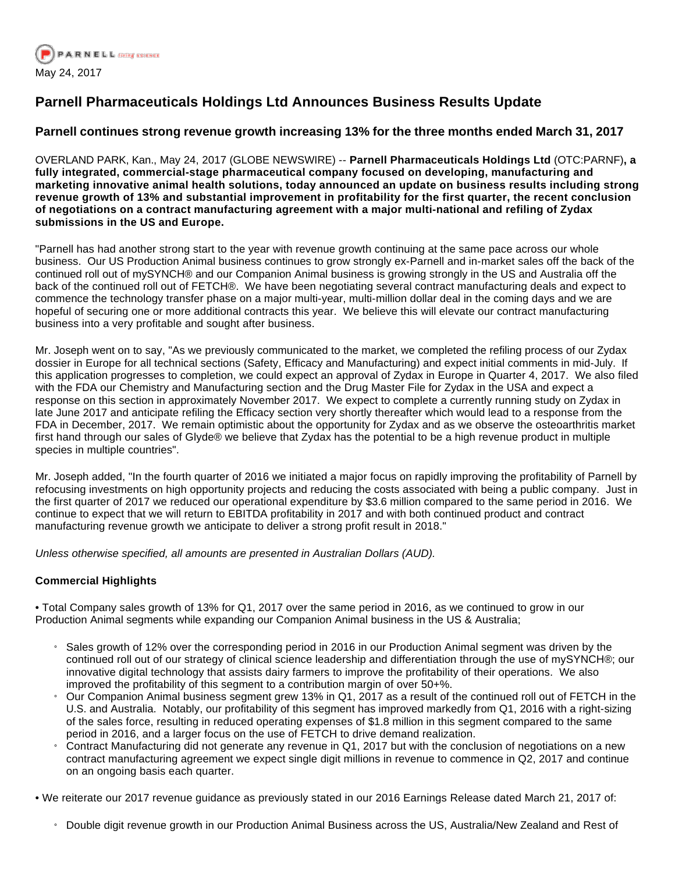

# **Parnell Pharmaceuticals Holdings Ltd Announces Business Results Update**

## **Parnell continues strong revenue growth increasing 13% for the three months ended March 31, 2017**

OVERLAND PARK, Kan., May 24, 2017 (GLOBE NEWSWIRE) -- **Parnell Pharmaceuticals Holdings Ltd** (OTC:PARNF)**, a fully integrated, commercial-stage pharmaceutical company focused on developing, manufacturing and marketing innovative animal health solutions, today announced an update on business results including strong revenue growth of 13% and substantial improvement in profitability for the first quarter, the recent conclusion of negotiations on a contract manufacturing agreement with a major multi-national and refiling of Zydax submissions in the US and Europe.**

"Parnell has had another strong start to the year with revenue growth continuing at the same pace across our whole business. Our US Production Animal business continues to grow strongly ex-Parnell and in-market sales off the back of the continued roll out of mySYNCH® and our Companion Animal business is growing strongly in the US and Australia off the back of the continued roll out of FETCH®. We have been negotiating several contract manufacturing deals and expect to commence the technology transfer phase on a major multi-year, multi-million dollar deal in the coming days and we are hopeful of securing one or more additional contracts this year. We believe this will elevate our contract manufacturing business into a very profitable and sought after business.

Mr. Joseph went on to say, "As we previously communicated to the market, we completed the refiling process of our Zydax dossier in Europe for all technical sections (Safety, Efficacy and Manufacturing) and expect initial comments in mid-July. If this application progresses to completion, we could expect an approval of Zydax in Europe in Quarter 4, 2017. We also filed with the FDA our Chemistry and Manufacturing section and the Drug Master File for Zydax in the USA and expect a response on this section in approximately November 2017. We expect to complete a currently running study on Zydax in late June 2017 and anticipate refiling the Efficacy section very shortly thereafter which would lead to a response from the FDA in December, 2017. We remain optimistic about the opportunity for Zydax and as we observe the osteoarthritis market first hand through our sales of Glyde® we believe that Zydax has the potential to be a high revenue product in multiple species in multiple countries".

Mr. Joseph added, "In the fourth quarter of 2016 we initiated a major focus on rapidly improving the profitability of Parnell by refocusing investments on high opportunity projects and reducing the costs associated with being a public company. Just in the first quarter of 2017 we reduced our operational expenditure by \$3.6 million compared to the same period in 2016. We continue to expect that we will return to EBITDA profitability in 2017 and with both continued product and contract manufacturing revenue growth we anticipate to deliver a strong profit result in 2018."

Unless otherwise specified, all amounts are presented in Australian Dollars (AUD).

### **Commercial Highlights**

• Total Company sales growth of 13% for Q1, 2017 over the same period in 2016, as we continued to grow in our Production Animal segments while expanding our Companion Animal business in the US & Australia;

- » Sales growth of 12% over the corresponding period in 2016 in our Production Animal segment was driven by the continued roll out of our strategy of clinical science leadership and differentiation through the use of mySYNCH®; our innovative digital technology that assists dairy farmers to improve the profitability of their operations. We also improved the profitability of this segment to a contribution margin of over 50+%.
- » Our Companion Animal business segment grew 13% in Q1, 2017 as a result of the continued roll out of FETCH in the U.S. and Australia. Notably, our profitability of this segment has improved markedly from Q1, 2016 with a right-sizing of the sales force, resulting in reduced operating expenses of \$1.8 million in this segment compared to the same period in 2016, and a larger focus on the use of FETCH to drive demand realization.
- » Contract Manufacturing did not generate any revenue in Q1, 2017 but with the conclusion of negotiations on a new contract manufacturing agreement we expect single digit millions in revenue to commence in Q2, 2017 and continue on an ongoing basis each quarter.

• We reiterate our 2017 revenue guidance as previously stated in our 2016 Earnings Release dated March 21, 2017 of:

» Double digit revenue growth in our Production Animal Business across the US, Australia/New Zealand and Rest of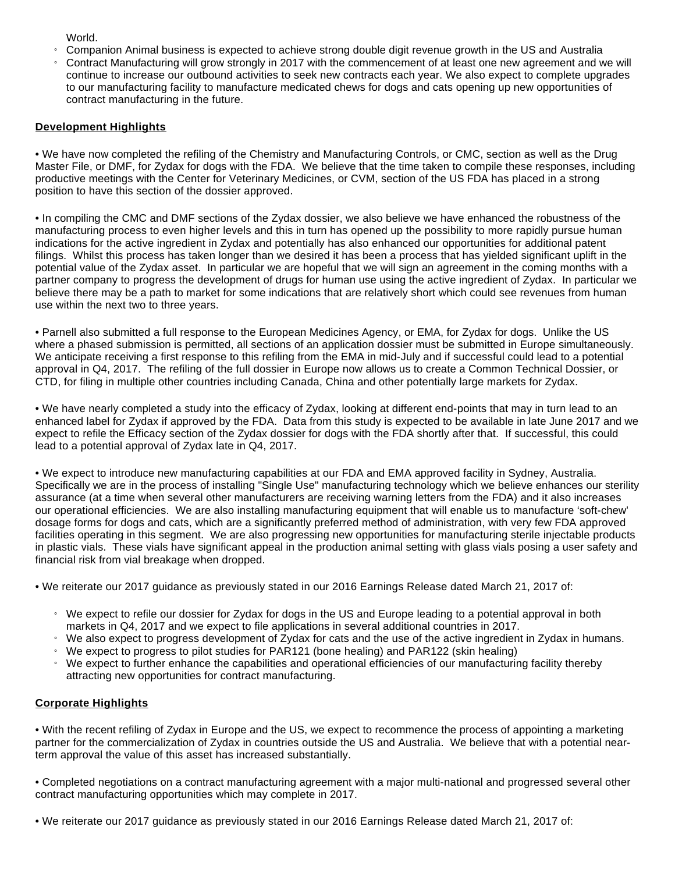World.

- » Companion Animal business is expected to achieve strong double digit revenue growth in the US and Australia
- » Contract Manufacturing will grow strongly in 2017 with the commencement of at least one new agreement and we will continue to increase our outbound activities to seek new contracts each year. We also expect to complete upgrades to our manufacturing facility to manufacture medicated chews for dogs and cats opening up new opportunities of contract manufacturing in the future.

### **Development Highlights**

• We have now completed the refiling of the Chemistry and Manufacturing Controls, or CMC, section as well as the Drug Master File, or DMF, for Zydax for dogs with the FDA. We believe that the time taken to compile these responses, including productive meetings with the Center for Veterinary Medicines, or CVM, section of the US FDA has placed in a strong position to have this section of the dossier approved.

• In compiling the CMC and DMF sections of the Zydax dossier, we also believe we have enhanced the robustness of the manufacturing process to even higher levels and this in turn has opened up the possibility to more rapidly pursue human indications for the active ingredient in Zydax and potentially has also enhanced our opportunities for additional patent filings. Whilst this process has taken longer than we desired it has been a process that has yielded significant uplift in the potential value of the Zydax asset. In particular we are hopeful that we will sign an agreement in the coming months with a partner company to progress the development of drugs for human use using the active ingredient of Zydax. In particular we believe there may be a path to market for some indications that are relatively short which could see revenues from human use within the next two to three years.

• Parnell also submitted a full response to the European Medicines Agency, or EMA, for Zydax for dogs. Unlike the US where a phased submission is permitted, all sections of an application dossier must be submitted in Europe simultaneously. We anticipate receiving a first response to this refiling from the EMA in mid-July and if successful could lead to a potential approval in Q4, 2017. The refiling of the full dossier in Europe now allows us to create a Common Technical Dossier, or CTD, for filing in multiple other countries including Canada, China and other potentially large markets for Zydax.

• We have nearly completed a study into the efficacy of Zydax, looking at different end-points that may in turn lead to an enhanced label for Zydax if approved by the FDA. Data from this study is expected to be available in late June 2017 and we expect to refile the Efficacy section of the Zydax dossier for dogs with the FDA shortly after that. If successful, this could lead to a potential approval of Zydax late in Q4, 2017.

• We expect to introduce new manufacturing capabilities at our FDA and EMA approved facility in Sydney, Australia. Specifically we are in the process of installing "Single Use" manufacturing technology which we believe enhances our sterility assurance (at a time when several other manufacturers are receiving warning letters from the FDA) and it also increases our operational efficiencies. We are also installing manufacturing equipment that will enable us to manufacture 'soft-chew' dosage forms for dogs and cats, which are a significantly preferred method of administration, with very few FDA approved facilities operating in this segment. We are also progressing new opportunities for manufacturing sterile injectable products in plastic vials. These vials have significant appeal in the production animal setting with glass vials posing a user safety and financial risk from vial breakage when dropped.

• We reiterate our 2017 guidance as previously stated in our 2016 Earnings Release dated March 21, 2017 of:

- » We expect to refile our dossier for Zydax for dogs in the US and Europe leading to a potential approval in both markets in Q4, 2017 and we expect to file applications in several additional countries in 2017.
- We also expect to progress development of Zydax for cats and the use of the active ingredient in Zydax in humans.
- » We expect to progress to pilot studies for PAR121 (bone healing) and PAR122 (skin healing)
- » We expect to further enhance the capabilities and operational efficiencies of our manufacturing facility thereby attracting new opportunities for contract manufacturing.

# **Corporate Highlights**

• With the recent refiling of Zydax in Europe and the US, we expect to recommence the process of appointing a marketing partner for the commercialization of Zydax in countries outside the US and Australia. We believe that with a potential nearterm approval the value of this asset has increased substantially.

• Completed negotiations on a contract manufacturing agreement with a major multi-national and progressed several other contract manufacturing opportunities which may complete in 2017.

• We reiterate our 2017 guidance as previously stated in our 2016 Earnings Release dated March 21, 2017 of: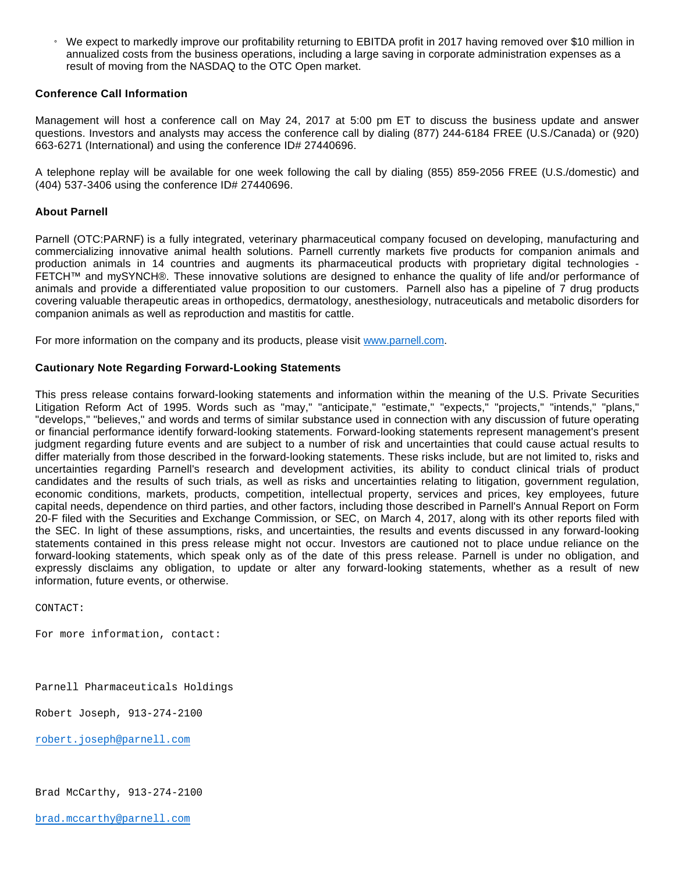» We expect to markedly improve our profitability returning to EBITDA profit in 2017 having removed over \$10 million in annualized costs from the business operations, including a large saving in corporate administration expenses as a result of moving from the NASDAQ to the OTC Open market.

### **Conference Call Information**

Management will host a conference call on May 24, 2017 at 5:00 pm ET to discuss the business update and answer questions. Investors and analysts may access the conference call by dialing (877) 244-6184 FREE (U.S./Canada) or (920) 663-6271 (International) and using the conference ID# 27440696.

A telephone replay will be available for one week following the call by dialing (855) 859-2056 FREE (U.S./domestic) and (404) 537-3406 using the conference ID# 27440696.

### **About Parnell**

Parnell (OTC:PARNF) is a fully integrated, veterinary pharmaceutical company focused on developing, manufacturing and commercializing innovative animal health solutions. Parnell currently markets five products for companion animals and production animals in 14 countries and augments its pharmaceutical products with proprietary digital technologies - FETCH™ and mySYNCH®. These innovative solutions are designed to enhance the quality of life and/or performance of animals and provide a differentiated value proposition to our customers. Parnell also has a pipeline of 7 drug products covering valuable therapeutic areas in orthopedics, dermatology, anesthesiology, nutraceuticals and metabolic disorders for companion animals as well as reproduction and mastitis for cattle.

For more information on the company and its products, please visit [www.parnell.com.](https://www.globenewswire.com/Tracker?data=eRl2j52n2_Okf9ChtNZT7pGpKaLi0wjHbee76obvv78gvmvMvtA1OGvQDT8ZgI3kXbPx8ADz-O3KtqxfIvD_SQ==)

#### **Cautionary Note Regarding Forward-Looking Statements**

This press release contains forward-looking statements and information within the meaning of the U.S. Private Securities Litigation Reform Act of 1995. Words such as "may," "anticipate," "estimate," "expects," "projects," "intends," "plans," "develops," "believes," and words and terms of similar substance used in connection with any discussion of future operating or financial performance identify forward-looking statements. Forward-looking statements represent management's present judgment regarding future events and are subject to a number of risk and uncertainties that could cause actual results to differ materially from those described in the forward-looking statements. These risks include, but are not limited to, risks and uncertainties regarding Parnell's research and development activities, its ability to conduct clinical trials of product candidates and the results of such trials, as well as risks and uncertainties relating to litigation, government regulation, economic conditions, markets, products, competition, intellectual property, services and prices, key employees, future capital needs, dependence on third parties, and other factors, including those described in Parnell's Annual Report on Form 20-F filed with the Securities and Exchange Commission, or SEC, on March 4, 2017, along with its other reports filed with the SEC. In light of these assumptions, risks, and uncertainties, the results and events discussed in any forward-looking statements contained in this press release might not occur. Investors are cautioned not to place undue reliance on the forward-looking statements, which speak only as of the date of this press release. Parnell is under no obligation, and expressly disclaims any obligation, to update or alter any forward-looking statements, whether as a result of new information, future events, or otherwise.

CONTACT:

For more information, contact:

Parnell Pharmaceuticals Holdings

Robert Joseph, 913-274-2100

[robert.joseph@parnell.com](mailto:robert.joseph@parnell.com)

Brad McCarthy, 913-274-2100

[brad.mccarthy@parnell.com](mailto:brad.mccarthy@parnell.com)